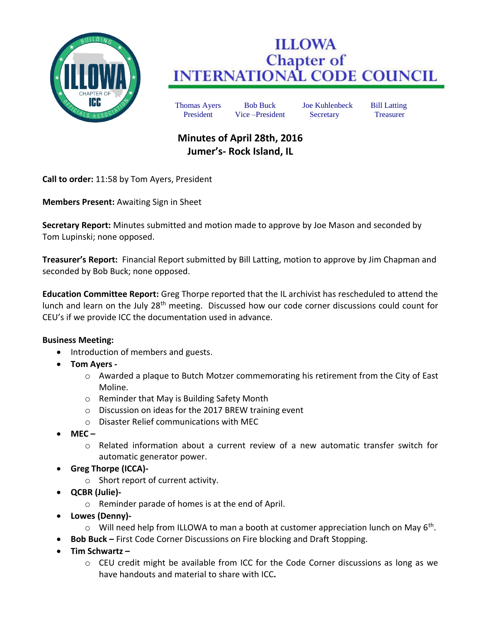

## **ILLOWA Chapter of<br>INTERNATIONAL CODE COUNCIL**

Thomas Ayers Bob Buck Joe Kuhlenbeck Bill Latting President Vice –President Secretary Treasurer

## **Minutes of April 28th, 2016 Jumer's- Rock Island, IL**

**Call to order:** 11:58 by Tom Ayers, President

**Members Present:** Awaiting Sign in Sheet

**Secretary Report:** Minutes submitted and motion made to approve by Joe Mason and seconded by Tom Lupinski; none opposed.

**Treasurer's Report:** Financial Report submitted by Bill Latting, motion to approve by Jim Chapman and seconded by Bob Buck; none opposed.

**Education Committee Report:** Greg Thorpe reported that the IL archivist has rescheduled to attend the lunch and learn on the July 28<sup>th</sup> meeting. Discussed how our code corner discussions could count for CEU's if we provide ICC the documentation used in advance.

## **Business Meeting:**

- Introduction of members and guests.
- **Tom Ayers** 
	- o Awarded a plaque to Butch Motzer commemorating his retirement from the City of East Moline.
	- o Reminder that May is Building Safety Month
	- o Discussion on ideas for the 2017 BREW training event
	- o Disaster Relief communications with MEC
- **MEC –**
	- $\circ$  Related information about a current review of a new automatic transfer switch for automatic generator power.
- **Greg Thorpe (ICCA)**
	- o Short report of current activity.
- **QCBR (Julie)**
	- o Reminder parade of homes is at the end of April.
- **Lowes (Denny)-**
	- $\circ$  Will need help from ILLOWA to man a booth at customer appreciation lunch on May 6<sup>th</sup>.
- **Bob Buck –** First Code Corner Discussions on Fire blocking and Draft Stopping.
- **Tim Schwartz –**
	- $\circ$  CEU credit might be available from ICC for the Code Corner discussions as long as we have handouts and material to share with ICC**.**